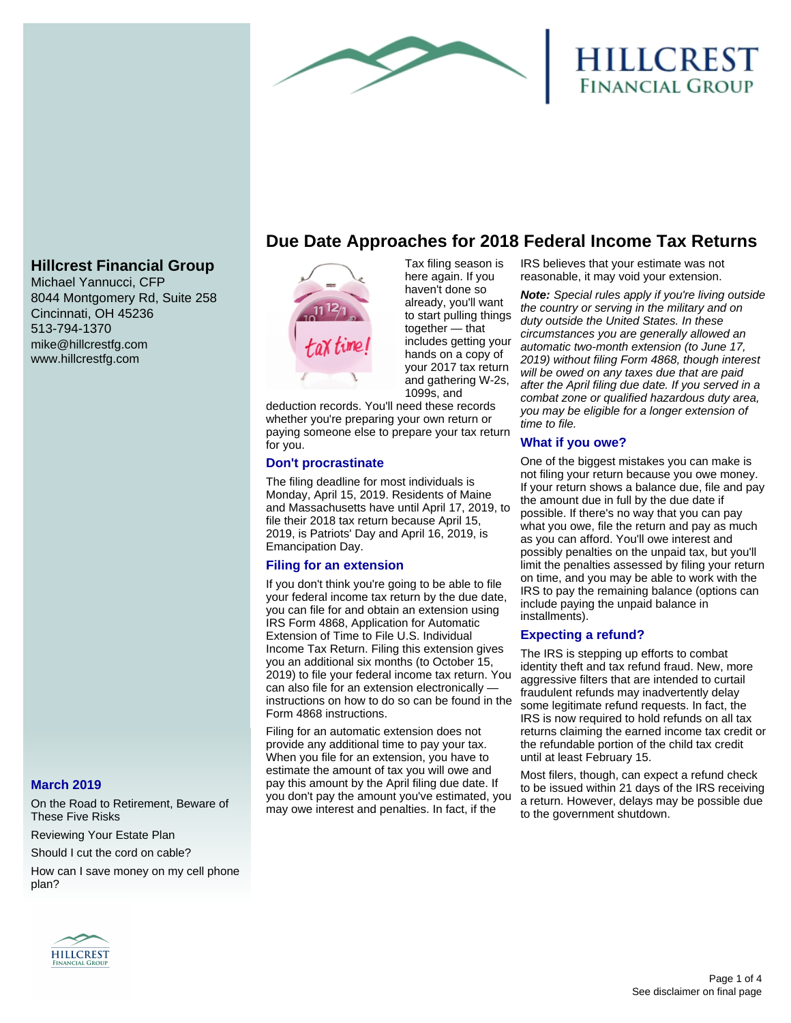

# **HILLCREST**<br>Financial Group

## **Hillcrest Financial Group**

Michael Yannucci, CFP 8044 Montgomery Rd, Suite 258 Cincinnati, OH 45236 513-794-1370 mike@hillcrestfg.com www.hillcrestfg.com

## **March 2019**

On the Road to Retirement, Beware of These Five Risks

Reviewing Your Estate Plan

Should I cut the cord on cable?

How can I save money on my cell phone plan?

# **Due Date Approaches for 2018 Federal Income Tax Returns**



Tax filing season is here again. If you haven't done so already, you'll want to start pulling things together — that includes getting your hands on a copy of your 2017 tax return and gathering W-2s, 1099s, and

deduction records. You'll need these records whether you're preparing your own return or paying someone else to prepare your tax return for you.

#### **Don't procrastinate**

The filing deadline for most individuals is Monday, April 15, 2019. Residents of Maine and Massachusetts have until April 17, 2019, to file their 2018 tax return because April 15, 2019, is Patriots' Day and April 16, 2019, is Emancipation Day.

## **Filing for an extension**

If you don't think you're going to be able to file your federal income tax return by the due date, you can file for and obtain an extension using IRS Form 4868, Application for Automatic Extension of Time to File U.S. Individual Income Tax Return. Filing this extension gives you an additional six months (to October 15, 2019) to file your federal income tax return. You can also file for an extension electronically instructions on how to do so can be found in the Form 4868 instructions.

Filing for an automatic extension does not provide any additional time to pay your tax. When you file for an extension, you have to estimate the amount of tax you will owe and pay this amount by the April filing due date. If you don't pay the amount you've estimated, you may owe interest and penalties. In fact, if the

IRS believes that your estimate was not reasonable, it may void your extension.

**Note:** Special rules apply if you're living outside the country or serving in the military and on duty outside the United States. In these circumstances you are generally allowed an automatic two-month extension (to June 17, 2019) without filing Form 4868, though interest will be owed on any taxes due that are paid after the April filing due date. If you served in a combat zone or qualified hazardous duty area, you may be eligible for a longer extension of time to file.

#### **What if you owe?**

One of the biggest mistakes you can make is not filing your return because you owe money. If your return shows a balance due, file and pay the amount due in full by the due date if possible. If there's no way that you can pay what you owe, file the return and pay as much as you can afford. You'll owe interest and possibly penalties on the unpaid tax, but you'll limit the penalties assessed by filing your return on time, and you may be able to work with the IRS to pay the remaining balance (options can include paying the unpaid balance in installments).

#### **Expecting a refund?**

The IRS is stepping up efforts to combat identity theft and tax refund fraud. New, more aggressive filters that are intended to curtail fraudulent refunds may inadvertently delay some legitimate refund requests. In fact, the IRS is now required to hold refunds on all tax returns claiming the earned income tax credit or the refundable portion of the child tax credit until at least February 15.

Most filers, though, can expect a refund check to be issued within 21 days of the IRS receiving a return. However, delays may be possible due to the government shutdown.

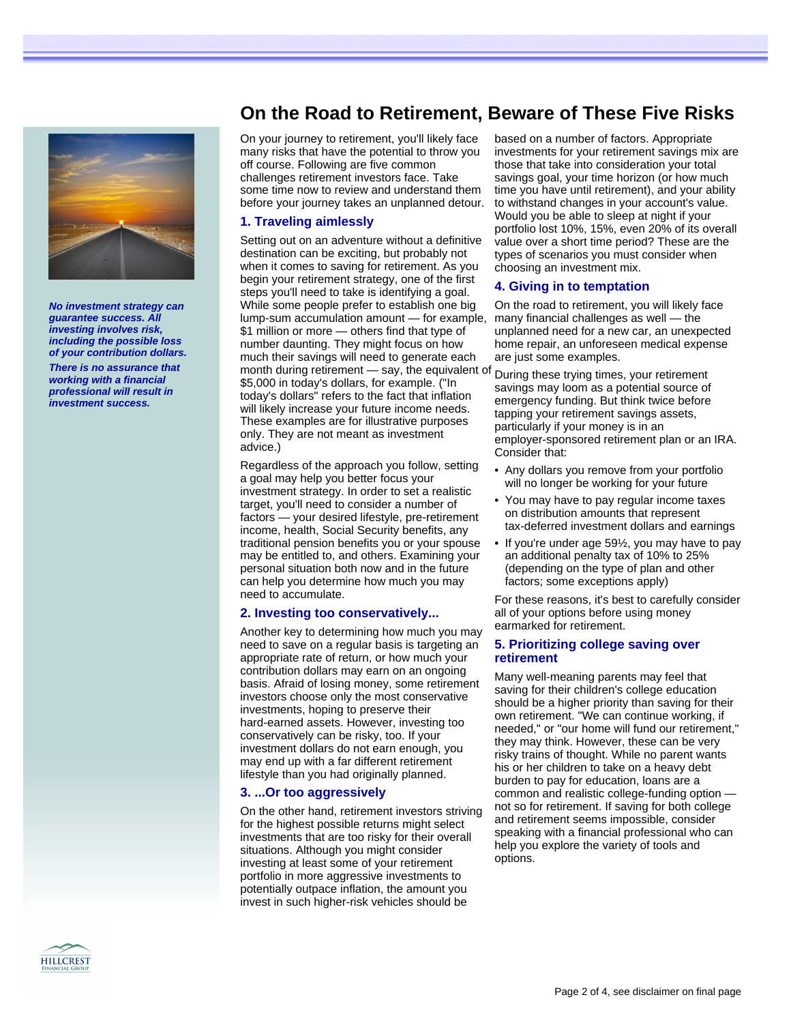

**No investment strategy can guarantee success. All investing involves risk, including the possible loss of your contribution dollars.**

**There is no assurance that working with a financial professional will result in investment success.**

# **On the Road to Retirement, Beware of These Five Risks**

On your journey to retirement, you'll likely face many risks that have the potential to throw you off course. Following are five common challenges retirement investors face. Take some time now to review and understand them before your journey takes an unplanned detour.

#### **1. Traveling aimlessly**

Setting out on an adventure without a definitive destination can be exciting, but probably not when it comes to saving for retirement. As you begin your retirement strategy, one of the first steps you'll need to take is identifying a goal. While some people prefer to establish one big lump-sum accumulation amount — for example, \$1 million or more — others find that type of number daunting. They might focus on how much their savings will need to generate each month during retirement — say, the equivalent of \$5,000 in today's dollars, for example. ("In today's dollars" refers to the fact that inflation will likely increase your future income needs. These examples are for illustrative purposes only. They are not meant as investment advice.)

Regardless of the approach you follow, setting a goal may help you better focus your investment strategy. In order to set a realistic target, you'll need to consider a number of factors — your desired lifestyle, pre-retirement income, health, Social Security benefits, any traditional pension benefits you or your spouse may be entitled to, and others. Examining your personal situation both now and in the future can help you determine how much you may need to accumulate.

#### **2. Investing too conservatively...**

Another key to determining how much you may need to save on a regular basis is targeting an appropriate rate of return, or how much your contribution dollars may earn on an ongoing basis. Afraid of losing money, some retirement investors choose only the most conservative investments, hoping to preserve their hard-earned assets. However, investing too conservatively can be risky, too. If your investment dollars do not earn enough, you may end up with a far different retirement lifestyle than you had originally planned.

#### **3. ...Or too aggressively**

On the other hand, retirement investors striving for the highest possible returns might select investments that are too risky for their overall situations. Although you might consider investing at least some of your retirement portfolio in more aggressive investments to potentially outpace inflation, the amount you invest in such higher-risk vehicles should be

based on a number of factors. Appropriate investments for your retirement savings mix are those that take into consideration your total savings goal, your time horizon (or how much time you have until retirement), and your ability to withstand changes in your account's value. Would you be able to sleep at night if your portfolio lost 10%, 15%, even 20% of its overall value over a short time period? These are the types of scenarios you must consider when choosing an investment mix.

#### **4. Giving in to temptation**

On the road to retirement, you will likely face many financial challenges as well — the unplanned need for a new car, an unexpected home repair, an unforeseen medical expense are just some examples.

During these trying times, your retirement savings may loom as a potential source of emergency funding. But think twice before tapping your retirement savings assets, particularly if your money is in an employer-sponsored retirement plan or an IRA. Consider that:

- Any dollars you remove from your portfolio will no longer be working for your future
- You may have to pay regular income taxes on distribution amounts that represent tax-deferred investment dollars and earnings
- If you're under age 59½, you may have to pay an additional penalty tax of 10% to 25% (depending on the type of plan and other factors; some exceptions apply)

For these reasons, it's best to carefully consider all of your options before using money earmarked for retirement.

#### **5. Prioritizing college saving over retirement**

Many well-meaning parents may feel that saving for their children's college education should be a higher priority than saving for their own retirement. "We can continue working, if needed," or "our home will fund our retirement," they may think. However, these can be very risky trains of thought. While no parent wants his or her children to take on a heavy debt burden to pay for education, loans are a common and realistic college-funding option not so for retirement. If saving for both college and retirement seems impossible, consider speaking with a financial professional who can help you explore the variety of tools and options.

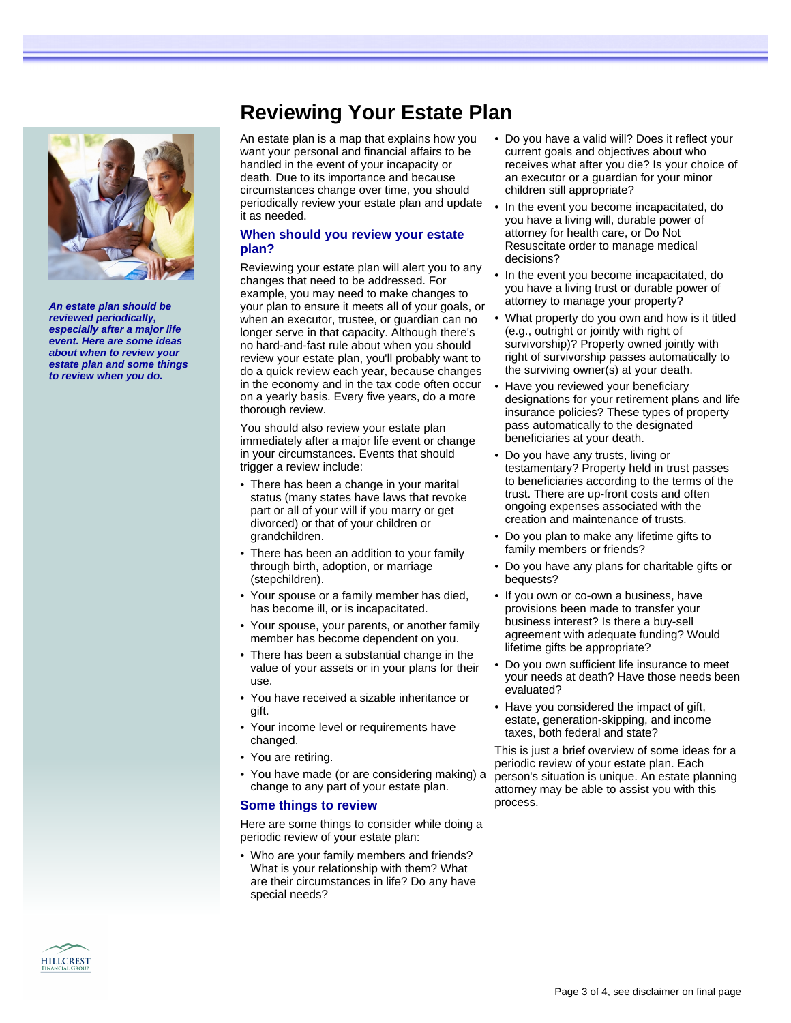

**An estate plan should be reviewed periodically, especially after a major life event. Here are some ideas about when to review your estate plan and some things to review when you do.**

# **Reviewing Your Estate Plan**

An estate plan is a map that explains how you want your personal and financial affairs to be handled in the event of your incapacity or death. Due to its importance and because circumstances change over time, you should periodically review your estate plan and update it as needed.

#### **When should you review your estate plan?**

Reviewing your estate plan will alert you to any changes that need to be addressed. For example, you may need to make changes to your plan to ensure it meets all of your goals, or when an executor, trustee, or guardian can no longer serve in that capacity. Although there's no hard-and-fast rule about when you should review your estate plan, you'll probably want to do a quick review each year, because changes in the economy and in the tax code often occur on a yearly basis. Every five years, do a more thorough review.

You should also review your estate plan immediately after a major life event or change in your circumstances. Events that should trigger a review include:

- There has been a change in your marital status (many states have laws that revoke part or all of your will if you marry or get divorced) or that of your children or grandchildren.
- There has been an addition to your family through birth, adoption, or marriage (stepchildren).
- Your spouse or a family member has died, has become ill, or is incapacitated.
- Your spouse, your parents, or another family member has become dependent on you.
- There has been a substantial change in the value of your assets or in your plans for their use.
- You have received a sizable inheritance or gift.
- Your income level or requirements have changed.
- You are retiring.
- You have made (or are considering making) a change to any part of your estate plan.

## **Some things to review**

Here are some things to consider while doing a periodic review of your estate plan:

• Who are your family members and friends? What is your relationship with them? What are their circumstances in life? Do any have special needs?

- Do you have a valid will? Does it reflect your current goals and objectives about who receives what after you die? Is your choice of an executor or a guardian for your minor children still appropriate?
- In the event you become incapacitated, do you have a living will, durable power of attorney for health care, or Do Not Resuscitate order to manage medical decisions?
- In the event you become incapacitated, do you have a living trust or durable power of attorney to manage your property?
- What property do you own and how is it titled (e.g., outright or jointly with right of survivorship)? Property owned jointly with right of survivorship passes automatically to the surviving owner(s) at your death.
- Have you reviewed your beneficiary designations for your retirement plans and life insurance policies? These types of property pass automatically to the designated beneficiaries at your death.
- Do you have any trusts, living or testamentary? Property held in trust passes to beneficiaries according to the terms of the trust. There are up-front costs and often ongoing expenses associated with the creation and maintenance of trusts.
- Do you plan to make any lifetime gifts to family members or friends?
- Do you have any plans for charitable gifts or bequests?
- If you own or co-own a business, have provisions been made to transfer your business interest? Is there a buy-sell agreement with adequate funding? Would lifetime gifts be appropriate?
- Do you own sufficient life insurance to meet your needs at death? Have those needs been evaluated?
- Have you considered the impact of gift, estate, generation-skipping, and income taxes, both federal and state?

This is just a brief overview of some ideas for a periodic review of your estate plan. Each person's situation is unique. An estate planning attorney may be able to assist you with this process.